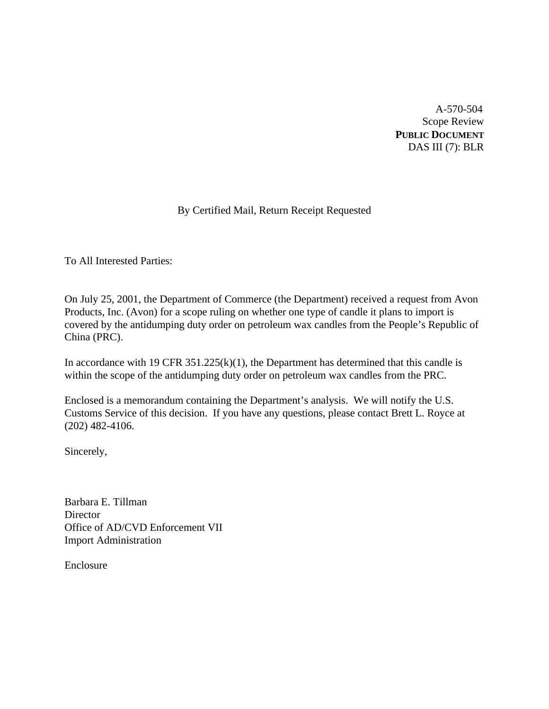A-570-504 Scope Review **PUBLIC DOCUMENT** DAS III (7): BLR

# By Certified Mail, Return Receipt Requested

To All Interested Parties:

On July 25, 2001, the Department of Commerce (the Department) received a request from Avon Products, Inc. (Avon) for a scope ruling on whether one type of candle it plans to import is covered by the antidumping duty order on petroleum wax candles from the People's Republic of China (PRC).

In accordance with 19 CFR  $351.225(k)(1)$ , the Department has determined that this candle is within the scope of the antidumping duty order on petroleum wax candles from the PRC.

Enclosed is a memorandum containing the Department's analysis. We will notify the U.S. Customs Service of this decision. If you have any questions, please contact Brett L. Royce at (202) 482-4106.

Sincerely,

Barbara E. Tillman **Director** Office of AD/CVD Enforcement VII Import Administration

Enclosure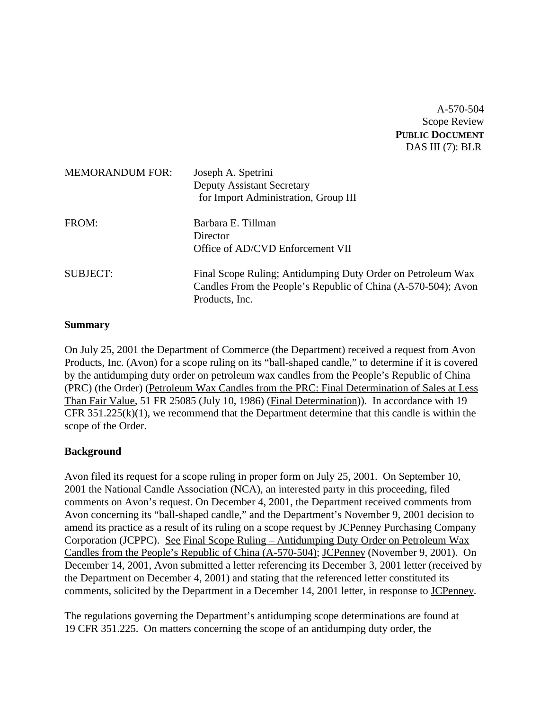A-570-504 Scope Review **PUBLIC DOCUMENT** DAS III (7): BLR

| <b>MEMORANDUM FOR:</b> | Joseph A. Spetrini<br><b>Deputy Assistant Secretary</b><br>for Import Administration, Group III                                                |
|------------------------|------------------------------------------------------------------------------------------------------------------------------------------------|
| FROM:                  | Barbara E. Tillman<br>Director<br>Office of AD/CVD Enforcement VII                                                                             |
| <b>SUBJECT:</b>        | Final Scope Ruling; Antidumping Duty Order on Petroleum Wax<br>Candles From the People's Republic of China (A-570-504); Avon<br>Products, Inc. |

## **Summary**

On July 25, 2001 the Department of Commerce (the Department) received a request from Avon Products, Inc. (Avon) for a scope ruling on its "ball-shaped candle," to determine if it is covered by the antidumping duty order on petroleum wax candles from the People's Republic of China (PRC) (the Order) (Petroleum Wax Candles from the PRC: Final Determination of Sales at Less Than Fair Value, 51 FR 25085 (July 10, 1986) (Final Determination)). In accordance with 19 CFR  $351.225(k)(1)$ , we recommend that the Department determine that this candle is within the scope of the Order.

#### **Background**

Avon filed its request for a scope ruling in proper form on July 25, 2001. On September 10, 2001 the National Candle Association (NCA), an interested party in this proceeding, filed comments on Avon's request. On December 4, 2001, the Department received comments from Avon concerning its "ball-shaped candle," and the Department's November 9, 2001 decision to amend its practice as a result of its ruling on a scope request by JCPenney Purchasing Company Corporation (JCPPC). See Final Scope Ruling – Antidumping Duty Order on Petroleum Wax Candles from the People's Republic of China (A-570-504); JCPenney (November 9, 2001). On December 14, 2001, Avon submitted a letter referencing its December 3, 2001 letter (received by the Department on December 4, 2001) and stating that the referenced letter constituted its comments, solicited by the Department in a December 14, 2001 letter, in response to JCPenney.

The regulations governing the Department's antidumping scope determinations are found at 19 CFR 351.225. On matters concerning the scope of an antidumping duty order, the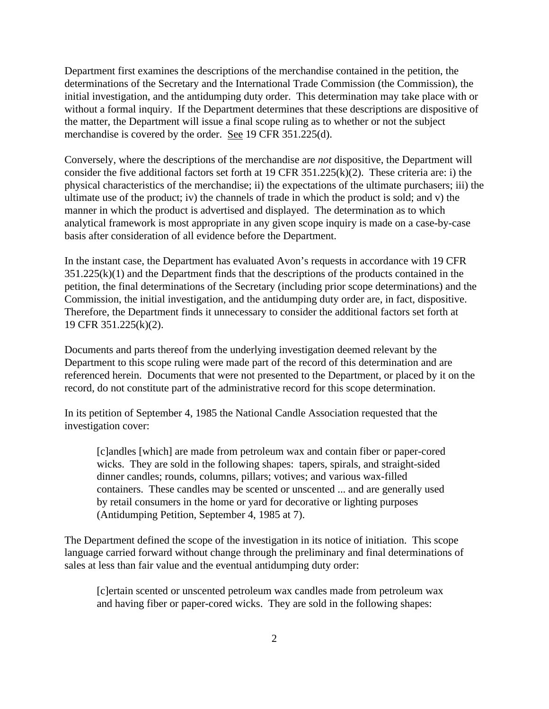Department first examines the descriptions of the merchandise contained in the petition, the determinations of the Secretary and the International Trade Commission (the Commission), the initial investigation, and the antidumping duty order. This determination may take place with or without a formal inquiry. If the Department determines that these descriptions are dispositive of the matter, the Department will issue a final scope ruling as to whether or not the subject merchandise is covered by the order. See 19 CFR 351.225(d).

Conversely, where the descriptions of the merchandise are *not* dispositive, the Department will consider the five additional factors set forth at 19 CFR 351.225(k)(2). These criteria are: i) the physical characteristics of the merchandise; ii) the expectations of the ultimate purchasers; iii) the ultimate use of the product; iv) the channels of trade in which the product is sold; and v) the manner in which the product is advertised and displayed. The determination as to which analytical framework is most appropriate in any given scope inquiry is made on a case-by-case basis after consideration of all evidence before the Department.

In the instant case, the Department has evaluated Avon's requests in accordance with 19 CFR  $351.225(k)(1)$  and the Department finds that the descriptions of the products contained in the petition, the final determinations of the Secretary (including prior scope determinations) and the Commission, the initial investigation, and the antidumping duty order are, in fact, dispositive. Therefore, the Department finds it unnecessary to consider the additional factors set forth at 19 CFR 351.225(k)(2).

Documents and parts thereof from the underlying investigation deemed relevant by the Department to this scope ruling were made part of the record of this determination and are referenced herein. Documents that were not presented to the Department, or placed by it on the record, do not constitute part of the administrative record for this scope determination.

In its petition of September 4, 1985 the National Candle Association requested that the investigation cover:

[c]andles [which] are made from petroleum wax and contain fiber or paper-cored wicks. They are sold in the following shapes: tapers, spirals, and straight-sided dinner candles; rounds, columns, pillars; votives; and various wax-filled containers. These candles may be scented or unscented ... and are generally used by retail consumers in the home or yard for decorative or lighting purposes (Antidumping Petition, September 4, 1985 at 7).

The Department defined the scope of the investigation in its notice of initiation. This scope language carried forward without change through the preliminary and final determinations of sales at less than fair value and the eventual antidumping duty order:

[c]ertain scented or unscented petroleum wax candles made from petroleum wax and having fiber or paper-cored wicks. They are sold in the following shapes: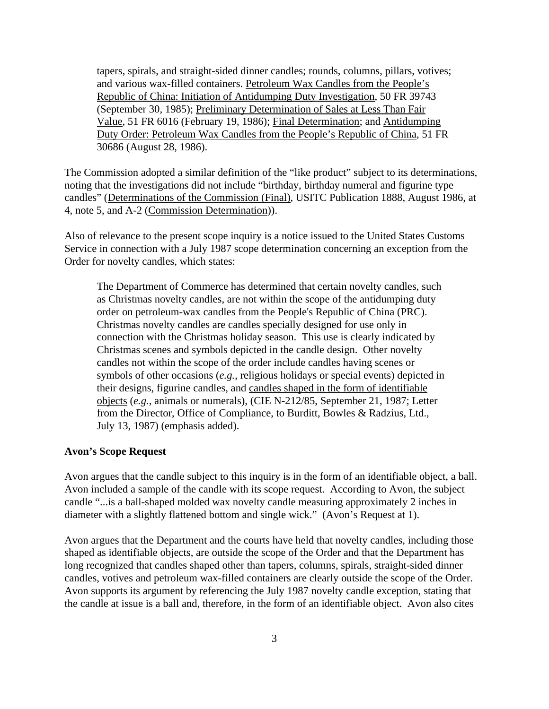tapers, spirals, and straight-sided dinner candles; rounds, columns, pillars, votives; and various wax-filled containers. Petroleum Wax Candles from the People's Republic of China: Initiation of Antidumping Duty Investigation, 50 FR 39743 (September 30, 1985); Preliminary Determination of Sales at Less Than Fair Value, 51 FR 6016 (February 19, 1986); Final Determination; and Antidumping Duty Order: Petroleum Wax Candles from the People's Republic of China, 51 FR 30686 (August 28, 1986).

The Commission adopted a similar definition of the "like product" subject to its determinations, noting that the investigations did not include "birthday, birthday numeral and figurine type candles" (Determinations of the Commission (Final), USITC Publication 1888, August 1986, at 4, note 5, and A-2 (Commission Determination)).

Also of relevance to the present scope inquiry is a notice issued to the United States Customs Service in connection with a July 1987 scope determination concerning an exception from the Order for novelty candles, which states:

The Department of Commerce has determined that certain novelty candles, such as Christmas novelty candles, are not within the scope of the antidumping duty order on petroleum-wax candles from the People's Republic of China (PRC). Christmas novelty candles are candles specially designed for use only in connection with the Christmas holiday season. This use is clearly indicated by Christmas scenes and symbols depicted in the candle design. Other novelty candles not within the scope of the order include candles having scenes or symbols of other occasions (*e.g.*, religious holidays or special events) depicted in their designs, figurine candles, and candles shaped in the form of identifiable objects (*e.g.*, animals or numerals), (CIE N-212/85, September 21, 1987; Letter from the Director, Office of Compliance, to Burditt, Bowles & Radzius, Ltd., July 13, 1987) (emphasis added).

#### **Avon's Scope Request**

Avon argues that the candle subject to this inquiry is in the form of an identifiable object, a ball. Avon included a sample of the candle with its scope request. According to Avon, the subject candle "...is a ball-shaped molded wax novelty candle measuring approximately 2 inches in diameter with a slightly flattened bottom and single wick." (Avon's Request at 1).

Avon argues that the Department and the courts have held that novelty candles, including those shaped as identifiable objects, are outside the scope of the Order and that the Department has long recognized that candles shaped other than tapers, columns, spirals, straight-sided dinner candles, votives and petroleum wax-filled containers are clearly outside the scope of the Order. Avon supports its argument by referencing the July 1987 novelty candle exception, stating that the candle at issue is a ball and, therefore, in the form of an identifiable object. Avon also cites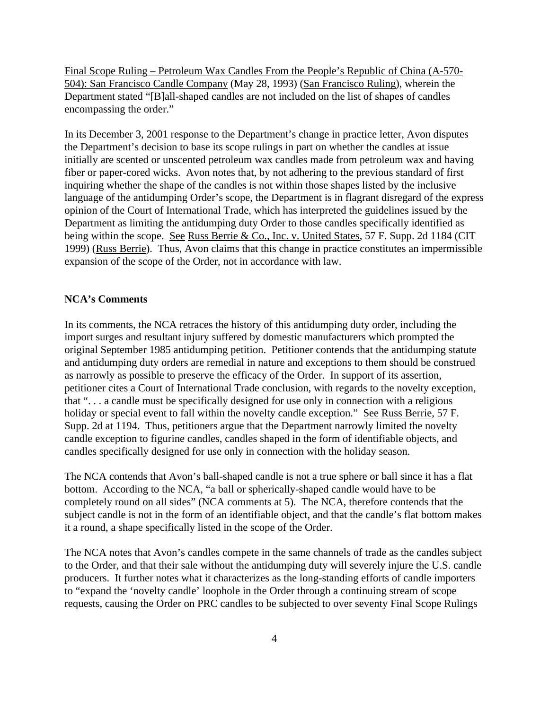Final Scope Ruling – Petroleum Wax Candles From the People's Republic of China (A-570- 504): San Francisco Candle Company (May 28, 1993) (San Francisco Ruling), wherein the Department stated "[B]all-shaped candles are not included on the list of shapes of candles encompassing the order."

In its December 3, 2001 response to the Department's change in practice letter, Avon disputes the Department's decision to base its scope rulings in part on whether the candles at issue initially are scented or unscented petroleum wax candles made from petroleum wax and having fiber or paper-cored wicks. Avon notes that, by not adhering to the previous standard of first inquiring whether the shape of the candles is not within those shapes listed by the inclusive language of the antidumping Order's scope, the Department is in flagrant disregard of the express opinion of the Court of International Trade, which has interpreted the guidelines issued by the Department as limiting the antidumping duty Order to those candles specifically identified as being within the scope. See Russ Berrie & Co., Inc. v. United States, 57 F. Supp. 2d 1184 (CIT 1999) (Russ Berrie). Thus, Avon claims that this change in practice constitutes an impermissible expansion of the scope of the Order, not in accordance with law.

#### **NCA's Comments**

In its comments, the NCA retraces the history of this antidumping duty order, including the import surges and resultant injury suffered by domestic manufacturers which prompted the original September 1985 antidumping petition. Petitioner contends that the antidumping statute and antidumping duty orders are remedial in nature and exceptions to them should be construed as narrowly as possible to preserve the efficacy of the Order. In support of its assertion, petitioner cites a Court of International Trade conclusion, with regards to the novelty exception, that ". . . a candle must be specifically designed for use only in connection with a religious holiday or special event to fall within the novelty candle exception." See Russ Berrie, 57 F. Supp. 2d at 1194. Thus, petitioners argue that the Department narrowly limited the novelty candle exception to figurine candles, candles shaped in the form of identifiable objects, and candles specifically designed for use only in connection with the holiday season.

The NCA contends that Avon's ball-shaped candle is not a true sphere or ball since it has a flat bottom. According to the NCA, "a ball or spherically-shaped candle would have to be completely round on all sides" (NCA comments at 5). The NCA, therefore contends that the subject candle is not in the form of an identifiable object, and that the candle's flat bottom makes it a round, a shape specifically listed in the scope of the Order.

The NCA notes that Avon's candles compete in the same channels of trade as the candles subject to the Order, and that their sale without the antidumping duty will severely injure the U.S. candle producers. It further notes what it characterizes as the long-standing efforts of candle importers to "expand the 'novelty candle' loophole in the Order through a continuing stream of scope requests, causing the Order on PRC candles to be subjected to over seventy Final Scope Rulings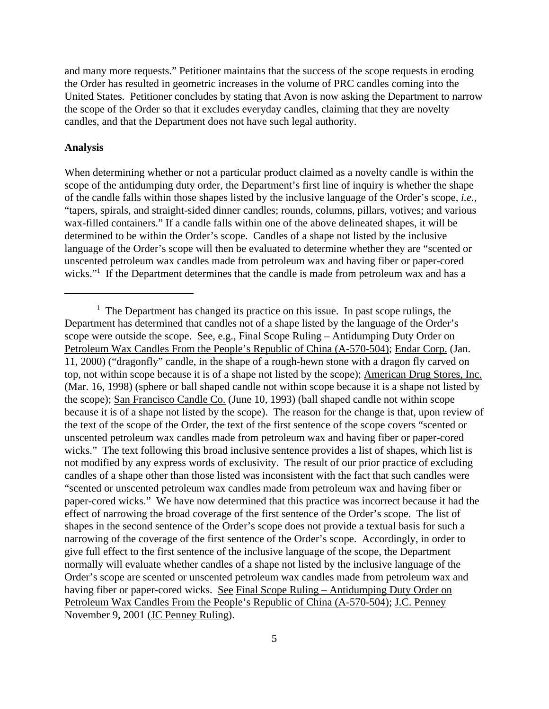and many more requests." Petitioner maintains that the success of the scope requests in eroding the Order has resulted in geometric increases in the volume of PRC candles coming into the United States. Petitioner concludes by stating that Avon is now asking the Department to narrow the scope of the Order so that it excludes everyday candles, claiming that they are novelty candles, and that the Department does not have such legal authority.

### **Analysis**

When determining whether or not a particular product claimed as a novelty candle is within the scope of the antidumping duty order, the Department's first line of inquiry is whether the shape of the candle falls within those shapes listed by the inclusive language of the Order's scope, *i.e.*, "tapers, spirals, and straight-sided dinner candles; rounds, columns, pillars, votives; and various wax-filled containers." If a candle falls within one of the above delineated shapes, it will be determined to be within the Order's scope. Candles of a shape not listed by the inclusive language of the Order's scope will then be evaluated to determine whether they are "scented or unscented petroleum wax candles made from petroleum wax and having fiber or paper-cored wicks."<sup>1</sup> If the Department determines that the candle is made from petroleum wax and has a

<sup>&</sup>lt;sup>1</sup> The Department has changed its practice on this issue. In past scope rulings, the Department has determined that candles not of a shape listed by the language of the Order's scope were outside the scope. See, e.g., Final Scope Ruling – Antidumping Duty Order on Petroleum Wax Candles From the People's Republic of China (A-570-504); Endar Corp. (Jan. 11, 2000) ("dragonfly" candle, in the shape of a rough-hewn stone with a dragon fly carved on top, not within scope because it is of a shape not listed by the scope); American Drug Stores, Inc. (Mar. 16, 1998) (sphere or ball shaped candle not within scope because it is a shape not listed by the scope); San Francisco Candle Co. (June 10, 1993) (ball shaped candle not within scope because it is of a shape not listed by the scope). The reason for the change is that, upon review of the text of the scope of the Order, the text of the first sentence of the scope covers "scented or unscented petroleum wax candles made from petroleum wax and having fiber or paper-cored wicks." The text following this broad inclusive sentence provides a list of shapes, which list is not modified by any express words of exclusivity. The result of our prior practice of excluding candles of a shape other than those listed was inconsistent with the fact that such candles were "scented or unscented petroleum wax candles made from petroleum wax and having fiber or paper-cored wicks." We have now determined that this practice was incorrect because it had the effect of narrowing the broad coverage of the first sentence of the Order's scope. The list of shapes in the second sentence of the Order's scope does not provide a textual basis for such a narrowing of the coverage of the first sentence of the Order's scope. Accordingly, in order to give full effect to the first sentence of the inclusive language of the scope, the Department normally will evaluate whether candles of a shape not listed by the inclusive language of the Order's scope are scented or unscented petroleum wax candles made from petroleum wax and having fiber or paper-cored wicks. See Final Scope Ruling – Antidumping Duty Order on Petroleum Wax Candles From the People's Republic of China (A-570-504); J.C. Penney November 9, 2001 (JC Penney Ruling).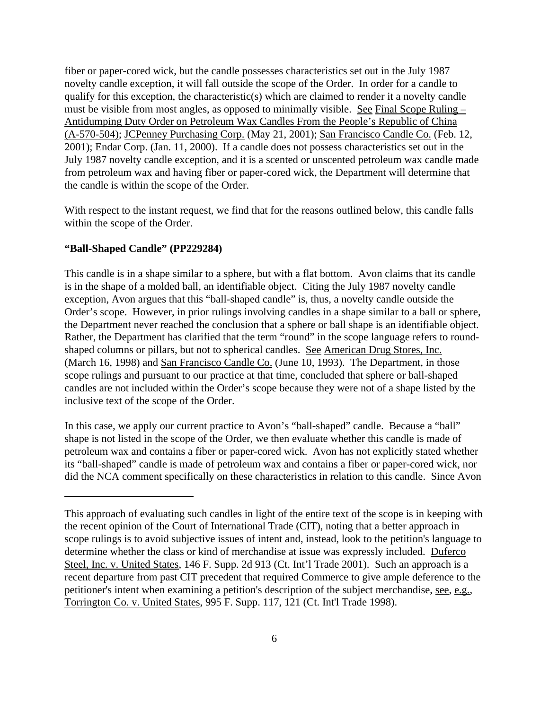fiber or paper-cored wick, but the candle possesses characteristics set out in the July 1987 novelty candle exception, it will fall outside the scope of the Order. In order for a candle to qualify for this exception, the characteristic(s) which are claimed to render it a novelty candle must be visible from most angles, as opposed to minimally visible. See Final Scope Ruling – Antidumping Duty Order on Petroleum Wax Candles From the People's Republic of China (A-570-504); JCPenney Purchasing Corp. (May 21, 2001); San Francisco Candle Co. (Feb. 12, 2001); Endar Corp. (Jan. 11, 2000). If a candle does not possess characteristics set out in the July 1987 novelty candle exception, and it is a scented or unscented petroleum wax candle made from petroleum wax and having fiber or paper-cored wick, the Department will determine that the candle is within the scope of the Order.

With respect to the instant request, we find that for the reasons outlined below, this candle falls within the scope of the Order.

## **"Ball-Shaped Candle" (PP229284)**

This candle is in a shape similar to a sphere, but with a flat bottom. Avon claims that its candle is in the shape of a molded ball, an identifiable object. Citing the July 1987 novelty candle exception, Avon argues that this "ball-shaped candle" is, thus, a novelty candle outside the Order's scope. However, in prior rulings involving candles in a shape similar to a ball or sphere, the Department never reached the conclusion that a sphere or ball shape is an identifiable object. Rather, the Department has clarified that the term "round" in the scope language refers to roundshaped columns or pillars, but not to spherical candles. See American Drug Stores, Inc. (March 16, 1998) and <u>San Francisco Candle Co.</u> (June 10, 1993). The Department, in those scope rulings and pursuant to our practice at that time, concluded that sphere or ball-shaped candles are not included within the Order's scope because they were not of a shape listed by the inclusive text of the scope of the Order.

In this case, we apply our current practice to Avon's "ball-shaped" candle. Because a "ball" shape is not listed in the scope of the Order, we then evaluate whether this candle is made of petroleum wax and contains a fiber or paper-cored wick. Avon has not explicitly stated whether its "ball-shaped" candle is made of petroleum wax and contains a fiber or paper-cored wick, nor did the NCA comment specifically on these characteristics in relation to this candle. Since Avon

This approach of evaluating such candles in light of the entire text of the scope is in keeping with the recent opinion of the Court of International Trade (CIT), noting that a better approach in scope rulings is to avoid subjective issues of intent and, instead, look to the petition's language to determine whether the class or kind of merchandise at issue was expressly included. Duferco Steel, Inc. v. United States, 146 F. Supp. 2d 913 (Ct. Int'l Trade 2001). Such an approach is a recent departure from past CIT precedent that required Commerce to give ample deference to the petitioner's intent when examining a petition's description of the subject merchandise, see, e.g., Torrington Co. v. United States, 995 F. Supp. 117, 121 (Ct. Int'l Trade 1998).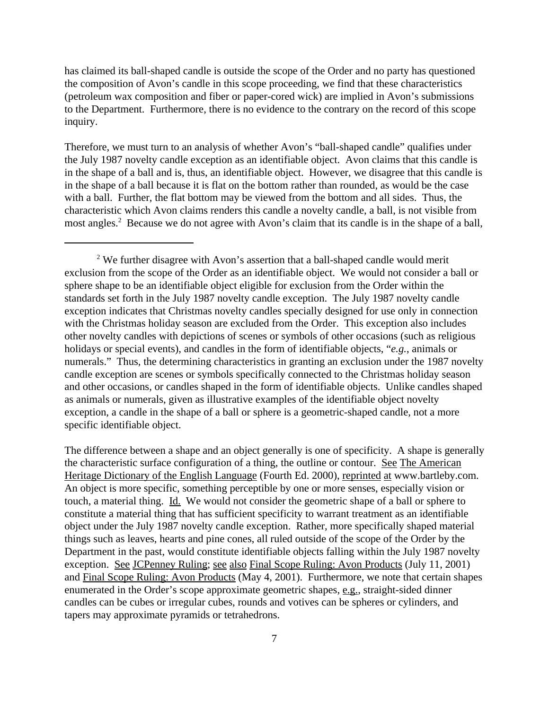has claimed its ball-shaped candle is outside the scope of the Order and no party has questioned the composition of Avon's candle in this scope proceeding, we find that these characteristics (petroleum wax composition and fiber or paper-cored wick) are implied in Avon's submissions to the Department. Furthermore, there is no evidence to the contrary on the record of this scope inquiry.

Therefore, we must turn to an analysis of whether Avon's "ball-shaped candle" qualifies under the July 1987 novelty candle exception as an identifiable object. Avon claims that this candle is in the shape of a ball and is, thus, an identifiable object. However, we disagree that this candle is in the shape of a ball because it is flat on the bottom rather than rounded, as would be the case with a ball. Further, the flat bottom may be viewed from the bottom and all sides. Thus, the characteristic which Avon claims renders this candle a novelty candle, a ball, is not visible from most angles.<sup>2</sup> Because we do not agree with Avon's claim that its candle is in the shape of a ball,

The difference between a shape and an object generally is one of specificity. A shape is generally the characteristic surface configuration of a thing, the outline or contour. See The American Heritage Dictionary of the English Language (Fourth Ed. 2000), reprinted at www.bartleby.com. An object is more specific, something perceptible by one or more senses, especially vision or touch, a material thing. Id. We would not consider the geometric shape of a ball or sphere to constitute a material thing that has sufficient specificity to warrant treatment as an identifiable object under the July 1987 novelty candle exception. Rather, more specifically shaped material things such as leaves, hearts and pine cones, all ruled outside of the scope of the Order by the Department in the past, would constitute identifiable objects falling within the July 1987 novelty exception. See JCPenney Ruling; see also Final Scope Ruling: Avon Products (July 11, 2001) and Final Scope Ruling: Avon Products (May 4, 2001). Furthermore, we note that certain shapes enumerated in the Order's scope approximate geometric shapes, e.g., straight-sided dinner candles can be cubes or irregular cubes, rounds and votives can be spheres or cylinders, and tapers may approximate pyramids or tetrahedrons.

<sup>&</sup>lt;sup>2</sup> We further disagree with Avon's assertion that a ball-shaped candle would merit exclusion from the scope of the Order as an identifiable object. We would not consider a ball or sphere shape to be an identifiable object eligible for exclusion from the Order within the standards set forth in the July 1987 novelty candle exception. The July 1987 novelty candle exception indicates that Christmas novelty candles specially designed for use only in connection with the Christmas holiday season are excluded from the Order. This exception also includes other novelty candles with depictions of scenes or symbols of other occasions (such as religious holidays or special events), and candles in the form of identifiable objects, "*e.g.*, animals or numerals." Thus, the determining characteristics in granting an exclusion under the 1987 novelty candle exception are scenes or symbols specifically connected to the Christmas holiday season and other occasions, or candles shaped in the form of identifiable objects. Unlike candles shaped as animals or numerals, given as illustrative examples of the identifiable object novelty exception, a candle in the shape of a ball or sphere is a geometric-shaped candle, not a more specific identifiable object.